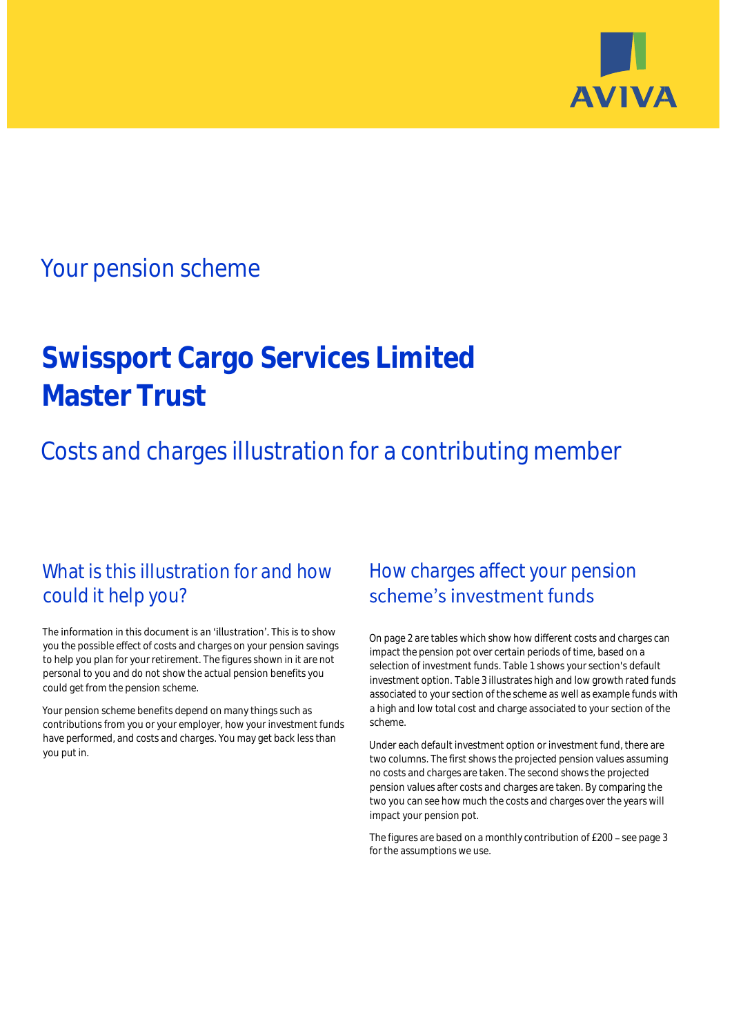

## Your pension scheme

# **Swissport Cargo Services Limited Master Trust**

Costs and charges illustration for a contributing member

### What is this illustration for and how could it help you?

#### The information in this document is an 'illustration'. This is to show you the possible effect of costs and charges on your pension savings to help you plan for your retirement. The figures shown in it are not personal to you and do not show the actual pension benefits you could get from the pension scheme.

Your pension scheme benefits depend on many things such as contributions from you or your employer, how your investment funds have performed, and costs and charges. You may get back less than you put in.

### How charges affect your pension scheme's investment funds

On page 2 are tables which show how different costs and charges can impact the pension pot over certain periods of time, based on a selection of investment funds. Table 1 shows your section's default investment option. Table 3 illustrates high and low growth rated funds associated to your section of the scheme as well as example funds with a high and low total cost and charge associated to your section of the scheme.

Under each default investment option or investment fund, there are two columns. The first shows the projected pension values assuming no costs and charges are taken. The second shows the projected pension values after costs and charges are taken. By comparing the two you can see how much the costs and charges over the years will impact your pension pot.

The figures are based on a monthly contribution of £200 - see page 3 for the assumptions we use.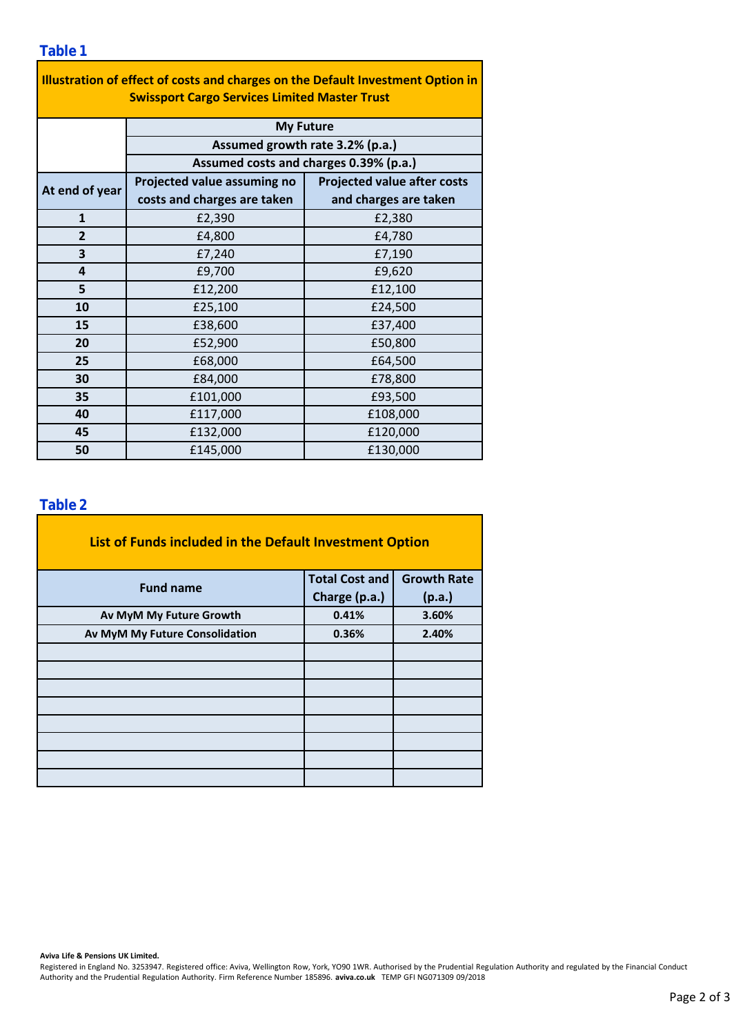| Illustration of effect of costs and charges on the Default Investment Option in<br><b>Swissport Cargo Services Limited Master Trust</b> |                                                                                               |                                    |  |  |  |  |  |  |
|-----------------------------------------------------------------------------------------------------------------------------------------|-----------------------------------------------------------------------------------------------|------------------------------------|--|--|--|--|--|--|
|                                                                                                                                         | <b>My Future</b><br>Assumed growth rate 3.2% (p.a.)<br>Assumed costs and charges 0.39% (p.a.) |                                    |  |  |  |  |  |  |
|                                                                                                                                         |                                                                                               |                                    |  |  |  |  |  |  |
|                                                                                                                                         |                                                                                               |                                    |  |  |  |  |  |  |
| At end of year                                                                                                                          | Projected value assuming no                                                                   | <b>Projected value after costs</b> |  |  |  |  |  |  |
|                                                                                                                                         | costs and charges are taken                                                                   | and charges are taken              |  |  |  |  |  |  |
| $\mathbf{1}$                                                                                                                            | £2,390                                                                                        | £2,380                             |  |  |  |  |  |  |
| $\overline{2}$                                                                                                                          | £4,800                                                                                        | £4,780                             |  |  |  |  |  |  |
| 3                                                                                                                                       | £7,240                                                                                        | £7,190                             |  |  |  |  |  |  |
| 4                                                                                                                                       | £9,700                                                                                        | £9,620<br>£12,100                  |  |  |  |  |  |  |
| 5                                                                                                                                       | £12,200                                                                                       |                                    |  |  |  |  |  |  |
| 10                                                                                                                                      | £25,100                                                                                       | £24,500                            |  |  |  |  |  |  |
| 15                                                                                                                                      | £38,600                                                                                       | £37,400                            |  |  |  |  |  |  |
| 20                                                                                                                                      | £52,900                                                                                       | £50,800                            |  |  |  |  |  |  |
| 25                                                                                                                                      | £68,000                                                                                       | £64,500                            |  |  |  |  |  |  |
| 30                                                                                                                                      | £84,000                                                                                       | £78,800                            |  |  |  |  |  |  |
| 35                                                                                                                                      | £101,000                                                                                      | £93,500                            |  |  |  |  |  |  |
| 40                                                                                                                                      | £117,000                                                                                      | £108,000                           |  |  |  |  |  |  |
| 45                                                                                                                                      | £132,000                                                                                      | £120,000                           |  |  |  |  |  |  |
| 50                                                                                                                                      | £145,000                                                                                      | £130,000                           |  |  |  |  |  |  |

### **Table 2**

| List of Funds included in the Default Investment Option |                       |                    |
|---------------------------------------------------------|-----------------------|--------------------|
| <b>Fund name</b>                                        | <b>Total Cost and</b> | <b>Growth Rate</b> |
|                                                         | Charge (p.a.)         | (p.a.)             |
| Av MyM My Future Growth                                 | 0.41%                 | 3.60%              |
| Av MyM My Future Consolidation                          | 0.36%                 | 2.40%              |
|                                                         |                       |                    |
|                                                         |                       |                    |
|                                                         |                       |                    |
|                                                         |                       |                    |
|                                                         |                       |                    |
|                                                         |                       |                    |
|                                                         |                       |                    |
|                                                         |                       |                    |

#### **Aviva Life & Pensions UK Limited.**

Registered in England No. 3253947. Registered office: Aviva, Wellington Row, York, YO90 1WR. Authorised by the Prudential Regulation Authority and regulated by the Financial Conduct Authority and the Prudential Regulation Authority. Firm Reference Number 185896. **aviva.co.uk** TEMP GFI NG071309 09/2018